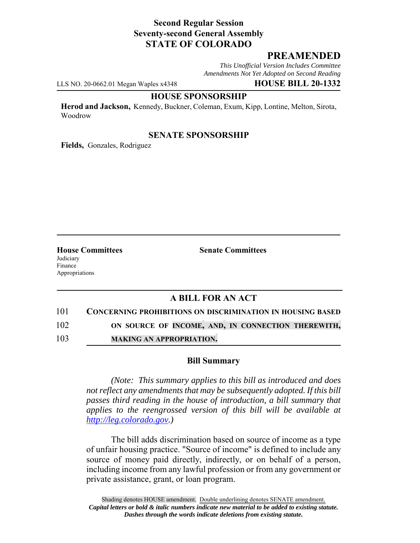# **Second Regular Session Seventy-second General Assembly STATE OF COLORADO**

# **PREAMENDED**

*This Unofficial Version Includes Committee Amendments Not Yet Adopted on Second Reading*

LLS NO. 20-0662.01 Megan Waples x4348 **HOUSE BILL 20-1332**

#### **HOUSE SPONSORSHIP**

**Herod and Jackson,** Kennedy, Buckner, Coleman, Exum, Kipp, Lontine, Melton, Sirota, Woodrow

### **SENATE SPONSORSHIP**

**Fields,** Gonzales, Rodriguez

Judiciary Finance Appropriations

**House Committees Senate Committees** 

# **A BILL FOR AN ACT**

101 **CONCERNING PROHIBITIONS ON DISCRIMINATION IN HOUSING BASED**

102 **ON SOURCE OF INCOME, AND, IN CONNECTION THEREWITH,**

103 **MAKING AN APPROPRIATION.**

### **Bill Summary**

*(Note: This summary applies to this bill as introduced and does not reflect any amendments that may be subsequently adopted. If this bill passes third reading in the house of introduction, a bill summary that applies to the reengrossed version of this bill will be available at http://leg.colorado.gov.)*

The bill adds discrimination based on source of income as a type of unfair housing practice. "Source of income" is defined to include any source of money paid directly, indirectly, or on behalf of a person, including income from any lawful profession or from any government or private assistance, grant, or loan program.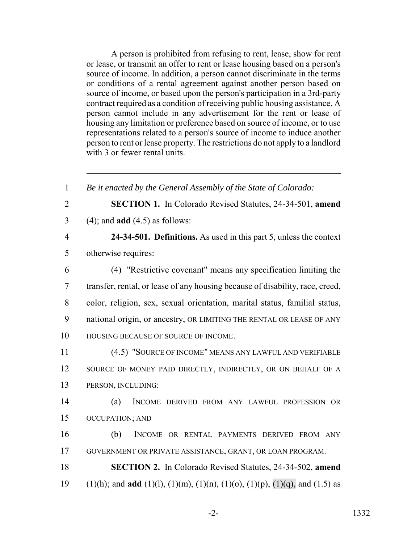A person is prohibited from refusing to rent, lease, show for rent or lease, or transmit an offer to rent or lease housing based on a person's source of income. In addition, a person cannot discriminate in the terms or conditions of a rental agreement against another person based on source of income, or based upon the person's participation in a 3rd-party contract required as a condition of receiving public housing assistance. A person cannot include in any advertisement for the rent or lease of housing any limitation or preference based on source of income, or to use representations related to a person's source of income to induce another person to rent or lease property. The restrictions do not apply to a landlord with 3 or fewer rental units.

 *Be it enacted by the General Assembly of the State of Colorado:* **SECTION 1.** In Colorado Revised Statutes, 24-34-501, **amend** (4); and **add** (4.5) as follows: **24-34-501. Definitions.** As used in this part 5, unless the context otherwise requires: (4) "Restrictive covenant" means any specification limiting the transfer, rental, or lease of any housing because of disability, race, creed, color, religion, sex, sexual orientation, marital status, familial status, national origin, or ancestry, OR LIMITING THE RENTAL OR LEASE OF ANY HOUSING BECAUSE OF SOURCE OF INCOME. (4.5) "SOURCE OF INCOME" MEANS ANY LAWFUL AND VERIFIABLE 12 SOURCE OF MONEY PAID DIRECTLY, INDIRECTLY, OR ON BEHALF OF A PERSON, INCLUDING: (a) INCOME DERIVED FROM ANY LAWFUL PROFESSION OR OCCUPATION; AND (b) INCOME OR RENTAL PAYMENTS DERIVED FROM ANY GOVERNMENT OR PRIVATE ASSISTANCE, GRANT, OR LOAN PROGRAM. **SECTION 2.** In Colorado Revised Statutes, 24-34-502, **amend** (1)(h); and **add** (1)(l), (1)(m), (1)(n), (1)(o), (1)(p), (1)(q), and (1.5) as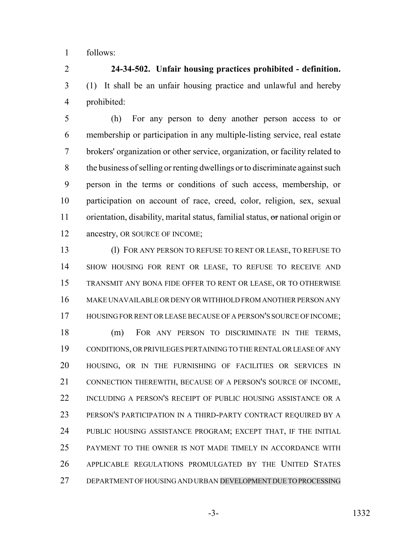follows:

 **24-34-502. Unfair housing practices prohibited - definition.** (1) It shall be an unfair housing practice and unlawful and hereby prohibited:

 (h) For any person to deny another person access to or membership or participation in any multiple-listing service, real estate brokers' organization or other service, organization, or facility related to the business of selling or renting dwellings or to discriminate against such person in the terms or conditions of such access, membership, or participation on account of race, creed, color, religion, sex, sexual 11 orientation, disability, marital status, familial status, or national origin or 12 ancestry, OR SOURCE OF INCOME;

 (l) FOR ANY PERSON TO REFUSE TO RENT OR LEASE, TO REFUSE TO SHOW HOUSING FOR RENT OR LEASE, TO REFUSE TO RECEIVE AND TRANSMIT ANY BONA FIDE OFFER TO RENT OR LEASE, OR TO OTHERWISE MAKE UNAVAILABLE OR DENY OR WITHHOLD FROM ANOTHER PERSON ANY 17 HOUSING FOR RENT OR LEASE BECAUSE OF A PERSON'S SOURCE OF INCOME;

 (m) FOR ANY PERSON TO DISCRIMINATE IN THE TERMS, CONDITIONS, OR PRIVILEGES PERTAINING TO THE RENTAL OR LEASE OF ANY HOUSING, OR IN THE FURNISHING OF FACILITIES OR SERVICES IN CONNECTION THEREWITH, BECAUSE OF A PERSON'S SOURCE OF INCOME, INCLUDING A PERSON'S RECEIPT OF PUBLIC HOUSING ASSISTANCE OR A PERSON'S PARTICIPATION IN A THIRD-PARTY CONTRACT REQUIRED BY A PUBLIC HOUSING ASSISTANCE PROGRAM; EXCEPT THAT, IF THE INITIAL PAYMENT TO THE OWNER IS NOT MADE TIMELY IN ACCORDANCE WITH APPLICABLE REGULATIONS PROMULGATED BY THE UNITED STATES DEPARTMENT OF HOUSING AND URBAN DEVELOPMENT DUE TO PROCESSING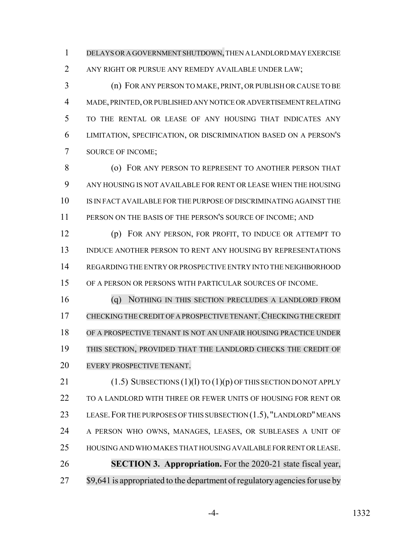DELAYS OR A GOVERNMENT SHUTDOWN, THEN A LANDLORD MAY EXERCISE

ANY RIGHT OR PURSUE ANY REMEDY AVAILABLE UNDER LAW;

 (n) FOR ANY PERSON TO MAKE, PRINT, OR PUBLISH OR CAUSE TO BE MADE, PRINTED, OR PUBLISHED ANY NOTICE OR ADVERTISEMENT RELATING TO THE RENTAL OR LEASE OF ANY HOUSING THAT INDICATES ANY LIMITATION, SPECIFICATION, OR DISCRIMINATION BASED ON A PERSON'S SOURCE OF INCOME;

**8 (O) FOR ANY PERSON TO REPRESENT TO ANOTHER PERSON THAT**  ANY HOUSING IS NOT AVAILABLE FOR RENT OR LEASE WHEN THE HOUSING IS IN FACT AVAILABLE FOR THE PURPOSE OF DISCRIMINATING AGAINST THE 11 PERSON ON THE BASIS OF THE PERSON'S SOURCE OF INCOME; AND

 (p) FOR ANY PERSON, FOR PROFIT, TO INDUCE OR ATTEMPT TO INDUCE ANOTHER PERSON TO RENT ANY HOUSING BY REPRESENTATIONS REGARDING THE ENTRY OR PROSPECTIVE ENTRY INTO THE NEIGHBORHOOD OF A PERSON OR PERSONS WITH PARTICULAR SOURCES OF INCOME.

 (q) NOTHING IN THIS SECTION PRECLUDES A LANDLORD FROM 17 CHECKING THE CREDIT OF A PROSPECTIVE TENANT. CHECKING THE CREDIT OF A PROSPECTIVE TENANT IS NOT AN UNFAIR HOUSING PRACTICE UNDER THIS SECTION, PROVIDED THAT THE LANDLORD CHECKS THE CREDIT OF EVERY PROSPECTIVE TENANT.

21 (1.5) SUBSECTIONS (1)(l) TO (1)(p) OF THIS SECTION DO NOT APPLY TO A LANDLORD WITH THREE OR FEWER UNITS OF HOUSING FOR RENT OR 23 LEASE. FOR THE PURPOSES OF THIS SUBSECTION (1.5), "LANDLORD" MEANS A PERSON WHO OWNS, MANAGES, LEASES, OR SUBLEASES A UNIT OF HOUSING AND WHO MAKES THAT HOUSING AVAILABLE FOR RENT OR LEASE. **SECTION 3. Appropriation.** For the 2020-21 state fiscal year, 27 \$9,641 is appropriated to the department of regulatory agencies for use by